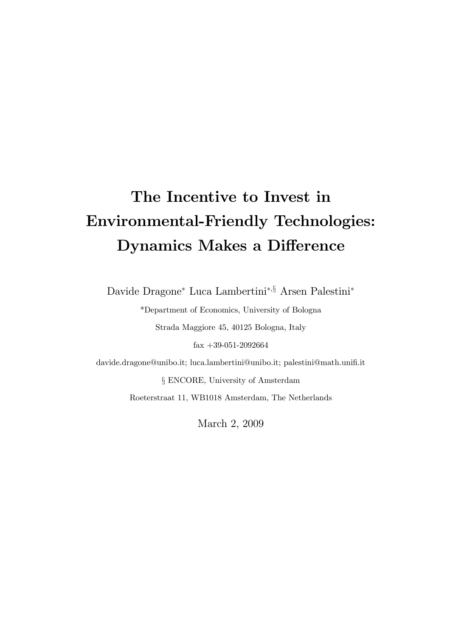# The Incentive to Invest in Environmental-Friendly Technologies: Dynamics Makes a Difference

Davide Dragone<sup>∗</sup> Luca Lambertini∗,§ Arsen Palestini<sup>∗</sup>

\*Department of Economics, University of Bologna Strada Maggiore 45, 40125 Bologna, Italy fax +39-051-2092664 davide.dragone@unibo.it; luca.lambertini@unibo.it; palestini@math.unifi.it § ENCORE, University of Amsterdam

Roeterstraat 11, WB1018 Amsterdam, The Netherlands

March 2, 2009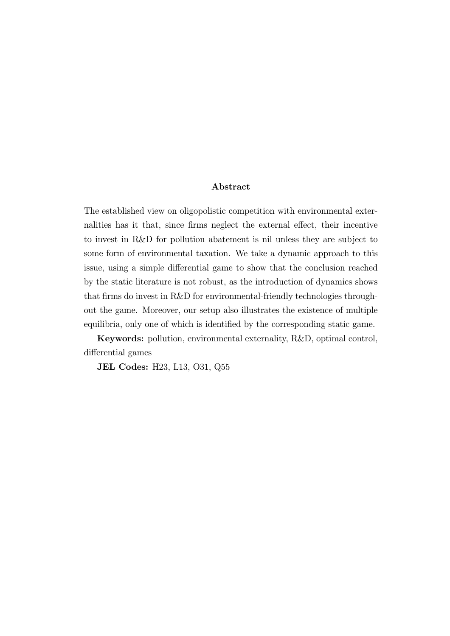#### Abstract

The established view on oligopolistic competition with environmental externalities has it that, since firms neglect the external effect, their incentive to invest in R&D for pollution abatement is nil unless they are subject to some form of environmental taxation. We take a dynamic approach to this issue, using a simple differential game to show that the conclusion reached by the static literature is not robust, as the introduction of dynamics shows that firms do invest in R&D for environmental-friendly technologies throughout the game. Moreover, our setup also illustrates the existence of multiple equilibria, only one of which is identified by the corresponding static game.

Keywords: pollution, environmental externality, R&D, optimal control, differential games

JEL Codes: H23, L13, O31, Q55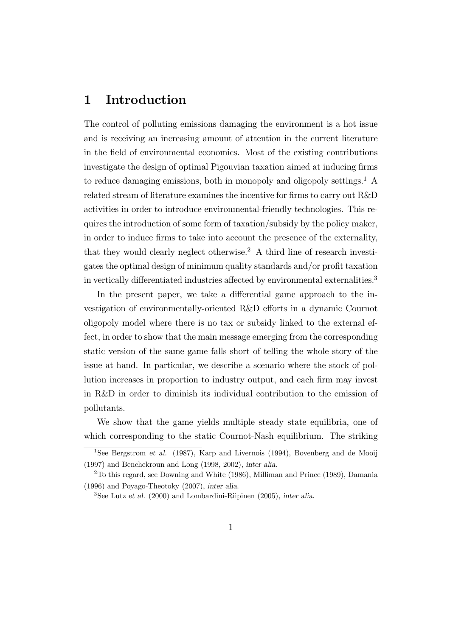#### 1 Introduction

The control of polluting emissions damaging the environment is a hot issue and is receiving an increasing amount of attention in the current literature in the field of environmental economics. Most of the existing contributions investigate the design of optimal Pigouvian taxation aimed at inducing firms to reduce damaging emissions, both in monopoly and oligopoly settings.<sup>1</sup> A related stream of literature examines the incentive for firms to carry out R&D activities in order to introduce environmental-friendly technologies. This requires the introduction of some form of taxation/subsidy by the policy maker, in order to induce firms to take into account the presence of the externality, that they would clearly neglect otherwise.<sup>2</sup> A third line of research investigates the optimal design of minimum quality standards and/or profit taxation in vertically differentiated industries affected by environmental externalities.<sup>3</sup>

In the present paper, we take a differential game approach to the investigation of environmentally-oriented R&D efforts in a dynamic Cournot oligopoly model where there is no tax or subsidy linked to the external effect, in order to show that the main message emerging from the corresponding static version of the same game falls short of telling the whole story of the issue at hand. In particular, we describe a scenario where the stock of pollution increases in proportion to industry output, and each firm may invest in R&D in order to diminish its individual contribution to the emission of pollutants.

We show that the game yields multiple steady state equilibria, one of which corresponding to the static Cournot-Nash equilibrium. The striking

<sup>&</sup>lt;sup>1</sup>See Bergstrom et al. (1987), Karp and Livernois (1994), Bovenberg and de Mooij (1997) and Benchekroun and Long (1998, 2002), inter alia.

<sup>2</sup>To this regard, see Downing and White (1986), Milliman and Prince (1989), Damania (1996) and Poyago-Theotoky (2007), inter alia.

 $3$ See Lutz et al. (2000) and Lombardini-Riipinen (2005), inter alia.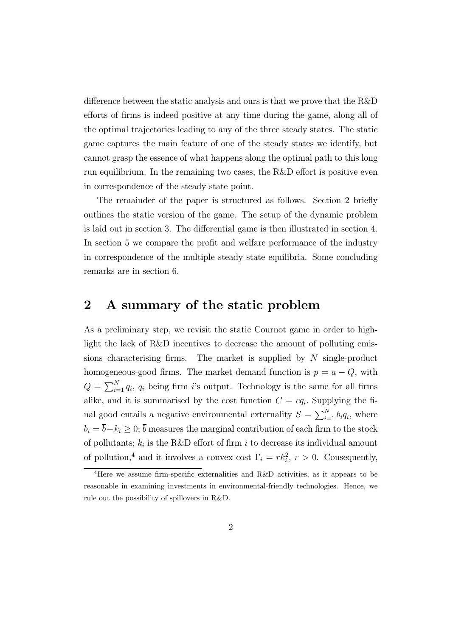difference between the static analysis and ours is that we prove that the R&D efforts of firms is indeed positive at any time during the game, along all of the optimal trajectories leading to any of the three steady states. The static game captures the main feature of one of the steady states we identify, but cannot grasp the essence of what happens along the optimal path to this long run equilibrium. In the remaining two cases, the R&D effort is positive even in correspondence of the steady state point.

The remainder of the paper is structured as follows. Section 2 briefly outlines the static version of the game. The setup of the dynamic problem is laid out in section 3. The differential game is then illustrated in section 4. In section 5 we compare the profit and welfare performance of the industry in correspondence of the multiple steady state equilibria. Some concluding remarks are in section 6.

#### 2 A summary of the static problem

As a preliminary step, we revisit the static Cournot game in order to highlight the lack of R&D incentives to decrease the amount of polluting emissions characterising firms. The market is supplied by  $N$  single-product homogeneous-good firms. The market demand function is  $p = a - Q$ , with  $Q = \sum_{i=1}^{N} q_i$ ,  $q_i$  being firm is output. Technology is the same for all firms alike, and it is summarised by the cost function  $C = cq_i$ . Supplying the final good entails a negative environmental externality  $S = \sum_{i=1}^{N} b_i q_i$ , where  $b_i = \overline{b} - k_i \geq 0; \overline{b}$  measures the marginal contribution of each firm to the stock of pollutants;  $k_i$  is the R&D effort of firm i to decrease its individual amount of pollution,<sup>4</sup> and it involves a convex cost  $\Gamma_i = rk_i^2$ ,  $r>0$ . Consequently,

<sup>&</sup>lt;sup>4</sup>Here we assume firm-specific externalities and R&D activities, as it appears to be reasonable in examining investments in environmental-friendly technologies. Hence, we rule out the possibility of spillovers in R&D.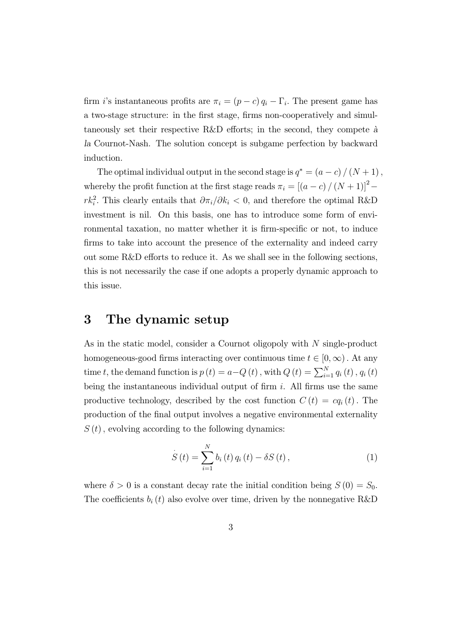firm i's instantaneous profits are  $\pi_i = (p - c) q_i - \Gamma_i$ . The present game has a two-stage structure: in the first stage, firms non-cooperatively and simultaneously set their respective R&D efforts; in the second, they compete  $\hat{a}$ la Cournot-Nash. The solution concept is subgame perfection by backward induction.

The optimal individual output in the second stage is  $q^* = (a - c) / (N + 1)$ , whereby the profit function at the first stage reads  $\pi_i = \left[ \left( a - c \right) / \left( N + 1 \right) \right]^2$  $rk_i^2$ . This clearly entails that  $\partial \pi_i/\partial k_i < 0$ , and therefore the optimal R&D investment is nil. On this basis, one has to introduce some form of environmental taxation, no matter whether it is firm-specific or not, to induce firms to take into account the presence of the externality and indeed carry out some R&D efforts to reduce it. As we shall see in the following sections, this is not necessarily the case if one adopts a properly dynamic approach to this issue.

#### 3 The dynamic setup

As in the static model, consider a Cournot oligopoly with N single-product homogeneous-good firms interacting over continuous time  $t \in [0, \infty)$ . At any time t, the demand function is  $p(t) = a - Q(t)$ , with  $Q(t) = \sum_{i=1}^{N} q_i(t)$ ,  $q_i(t)$ being the instantaneous individual output of firm  $i$ . All firms use the same productive technology, described by the cost function  $C(t) = cq<sub>i</sub>(t)$ . The production of the final output involves a negative environmental externality  $S(t)$ , evolving according to the following dynamics:

$$
S(t) = \sum_{i=1}^{N} b_i(t) q_i(t) - \delta S(t), \qquad (1)
$$

where  $\delta > 0$  is a constant decay rate the initial condition being  $S(0) = S_0$ . The coefficients  $b_i(t)$  also evolve over time, driven by the nonnegative R&D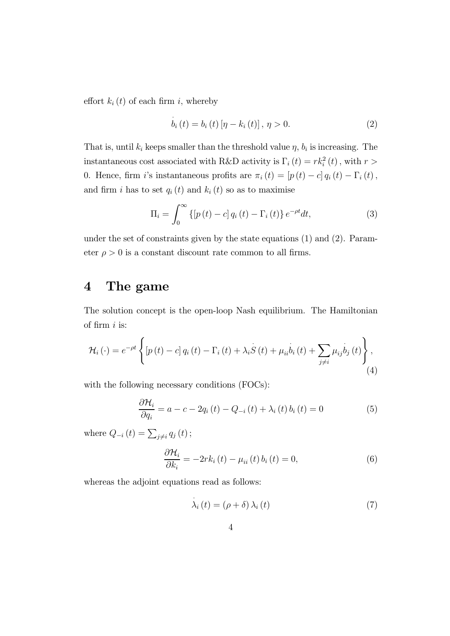effort  $k_i(t)$  of each firm i, whereby

$$
\dot{b}_{i}(t) = b_{i}(t) [\eta - k_{i}(t)], \, \eta > 0.
$$
\n(2)

That is, until  $k_i$  keeps smaller than the threshold value  $\eta$ ,  $b_i$  is increasing. The instantaneous cost associated with R&D activity is  $\Gamma_i(t) = r k_i^2(t)$ , with  $r >$ 0. Hence, firm *i*'s instantaneous profits are  $\pi_i (t)=[p (t) - c] q_i (t) - \Gamma_i (t)$ , and firm i has to set  $q_i(t)$  and  $k_i(t)$  so as to maximise

$$
\Pi_{i} = \int_{0}^{\infty} \left\{ \left[ p(t) - c \right] q_{i}(t) - \Gamma_{i}(t) \right\} e^{-\rho t} dt, \tag{3}
$$

under the set of constraints given by the state equations (1) and (2). Parameter  $\rho > 0$  is a constant discount rate common to all firms.

### 4 The game

The solution concept is the open-loop Nash equilibrium. The Hamiltonian of firm  $i$  is:

$$
\mathcal{H}_{i}(\cdot) = e^{-\rho t} \left\{ \left[ p(t) - c \right] q_{i}(t) - \Gamma_{i}(t) + \lambda_{i} \dot{S}(t) + \mu_{ii} \dot{b}_{i}(t) + \sum_{j \neq i} \mu_{ij} \dot{b}_{j}(t) \right\},\tag{4}
$$

with the following necessary conditions (FOCs):

$$
\frac{\partial \mathcal{H}_i}{\partial q_i} = a - c - 2q_i(t) - Q_{-i}(t) + \lambda_i(t) b_i(t) = 0 \tag{5}
$$

where  $Q_{-i}(t) = \sum_{j \neq i} q_j(t)$ ;

$$
\frac{\partial \mathcal{H}_i}{\partial k_i} = -2rk_i(t) - \mu_{ii}(t) b_i(t) = 0, \qquad (6)
$$

whereas the adjoint equations read as follows:

$$
\dot{\lambda}_{i}(t) = (\rho + \delta) \lambda_{i}(t) \tag{7}
$$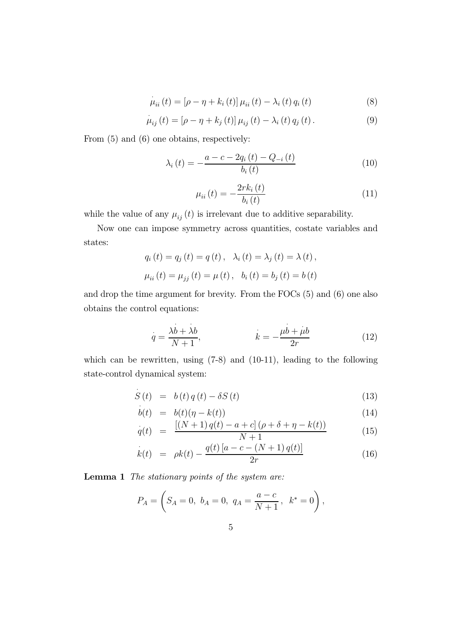$$
\mu_{ii}(t) = [\rho - \eta + k_i(t)] \mu_{ii}(t) - \lambda_i(t) q_i(t)
$$
\n(8)

$$
\mu_{ij}(t) = [\rho - \eta + k_j(t)] \mu_{ij}(t) - \lambda_i(t) q_j(t).
$$
\n(9)

From  $(5)$  and  $(6)$  one obtains, respectively:

$$
\lambda_{i}(t) = -\frac{a - c - 2q_{i}(t) - Q_{-i}(t)}{b_{i}(t)}
$$
\n(10)

$$
\mu_{ii}(t) = -\frac{2rk_i(t)}{b_i(t)}
$$
\n(11)

while the value of any  $\mu_{ij}(t)$  is irrelevant due to additive separability.

Now one can impose symmetry across quantities, costate variables and states:

$$
q_i(t) = q_j(t) = q(t), \quad \lambda_i(t) = \lambda_j(t) = \lambda(t),
$$
  

$$
\mu_{ii}(t) = \mu_{jj}(t) = \mu(t), \quad b_i(t) = b_j(t) = b(t)
$$

and drop the time argument for brevity. From the FOCs (5) and (6) one also obtains the control equations:

$$
q = \frac{\lambda b + \lambda b}{N + 1}, \qquad k = -\frac{\mu b + \mu b}{2r} \tag{12}
$$

which can be rewritten, using (7-8) and (10-11), leading to the following state-control dynamical system:

$$
\dot{S}(t) = b(t)q(t) - \delta S(t) \tag{13}
$$

$$
b(t) = b(t)(\eta - k(t))
$$
\n(14)

$$
\dot{q}(t) = \frac{[(N+1)q(t) - a + c] (\rho + \delta + \eta - k(t))}{N+1}
$$
\n(15)

$$
\dot{k}(t) = \rho k(t) - \frac{q(t)[a - c - (N + 1)q(t)]}{2r} \tag{16}
$$

Lemma 1 The stationary points of the system are:

$$
P_A = \left(S_A = 0, \ b_A = 0, \ q_A = \frac{a-c}{N+1}, \ k^* = 0\right),
$$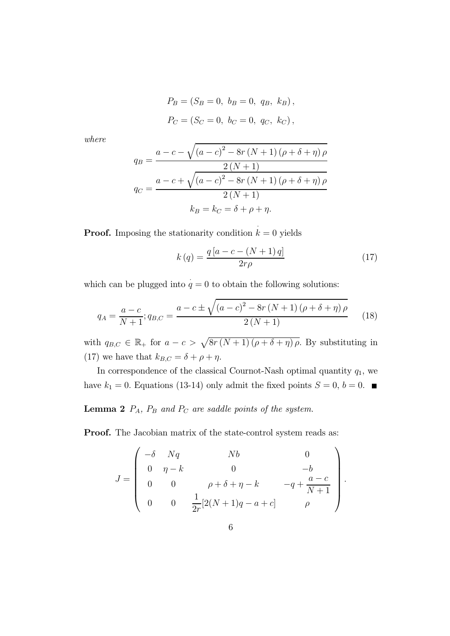$$
P_B = (S_B = 0, b_B = 0, q_B, k_B),
$$
  

$$
P_C = (S_C = 0, b_C = 0, q_C, k_C),
$$

where

$$
q_{B} = \frac{a - c - \sqrt{(a - c)^{2} - 8r(N + 1)(\rho + \delta + \eta)\rho}}{2(N + 1)}
$$

$$
q_{C} = \frac{a - c + \sqrt{(a - c)^{2} - 8r(N + 1)(\rho + \delta + \eta)\rho}}{2(N + 1)}
$$

$$
k_{B} = k_{C} = \delta + \rho + \eta.
$$

**Proof.** Imposing the stationarity condition  $k = 0$  yields

$$
k(q) = \frac{q\left[a - c - (N+1)q\right]}{2r\rho} \tag{17}
$$

which can be plugged into  $q = 0$  to obtain the following solutions:

$$
q_{A} = \frac{a - c}{N + 1}; q_{B,C} = \frac{a - c \pm \sqrt{(a - c)^{2} - 8r(N + 1)(\rho + \delta + \eta)\rho}}{2(N + 1)}
$$
(18)

with  $q_{B,C} \in \mathbb{R}_+$  for  $a - c > \sqrt{8r (N + 1) (\rho + \delta + \eta) \rho}$ . By substituting in (17) we have that  $k_{B,C} = \delta + \rho + \eta$ .

In correspondence of the classical Cournot-Nash optimal quantity  $q_1$ , we have  $k_1 = 0$ . Equations (13-14) only admit the fixed points  $S = 0, b = 0$ .

#### **Lemma 2**  $P_A$ ,  $P_B$  and  $P_C$  are saddle points of the system.

Proof. The Jacobian matrix of the state-control system reads as:

$$
J = \begin{pmatrix} -\delta & Nq & Nb & 0 \\ 0 & \eta - k & 0 & -b \\ 0 & 0 & \rho + \delta + \eta - k & -q + \frac{a - c}{N + 1} \\ 0 & 0 & \frac{1}{2r} [2(N + 1)q - a + c] & \rho \end{pmatrix}.
$$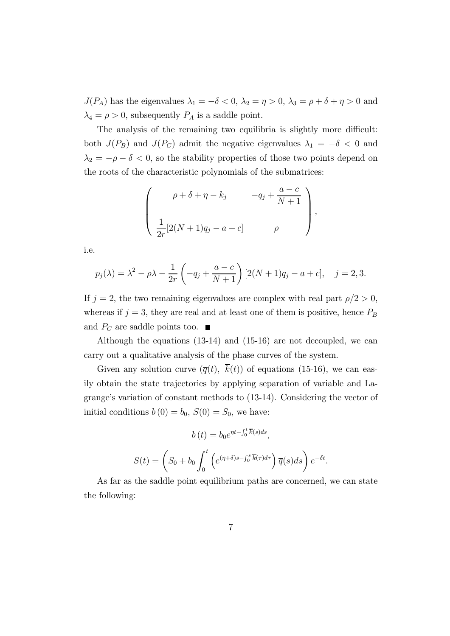$J(P_A)$  has the eigenvalues  $\lambda_1 = -\delta < 0$ ,  $\lambda_2 = \eta > 0$ ,  $\lambda_3 = \rho + \delta + \eta > 0$  and  $\lambda_4 = \rho > 0$ , subsequently  $P_A$  is a saddle point.

The analysis of the remaining two equilibria is slightly more difficult: both  $J(P_B)$  and  $J(P_C)$  admit the negative eigenvalues  $\lambda_1 = -\delta < 0$  and  $\lambda_2 = -\rho - \delta < 0$ , so the stability properties of those two points depend on the roots of the characteristic polynomials of the submatrices:

$$
\left(\begin{array}{cc}\n\rho + \delta + \eta - k_j & -q_j + \frac{a-c}{N+1} \\
\frac{1}{2r}[2(N+1)q_j - a + c] & \rho\n\end{array}\right),
$$

i.e.

$$
p_j(\lambda) = \lambda^2 - \rho \lambda - \frac{1}{2r} \left( -q_j + \frac{a-c}{N+1} \right) [2(N+1)q_j - a + c], \quad j = 2, 3.
$$

If  $j = 2$ , the two remaining eigenvalues are complex with real part  $\rho/2 > 0$ , whereas if  $j = 3$ , they are real and at least one of them is positive, hence  $P_B$ and  $P_C$  are saddle points too.  $\blacksquare$ 

Although the equations (13-14) and (15-16) are not decoupled, we can carry out a qualitative analysis of the phase curves of the system.

Given any solution curve  $(\overline{q}(t), \overline{k}(t))$  of equations (15-16), we can easily obtain the state trajectories by applying separation of variable and Lagrange's variation of constant methods to (13-14). Considering the vector of initial conditions  $b(0) = b_0$ ,  $S(0) = S_0$ , we have:

$$
b(t) = b_0 e^{\eta t - \int_0^t \overline{k}(s) ds},
$$

$$
S(t) = \left( S_0 + b_0 \int_0^t \left( e^{(\eta + \delta)s - \int_0^s \overline{k}(\tau) d\tau} \right) \overline{q}(s) ds \right) e^{-\delta t}.
$$

As far as the saddle point equilibrium paths are concerned, we can state the following: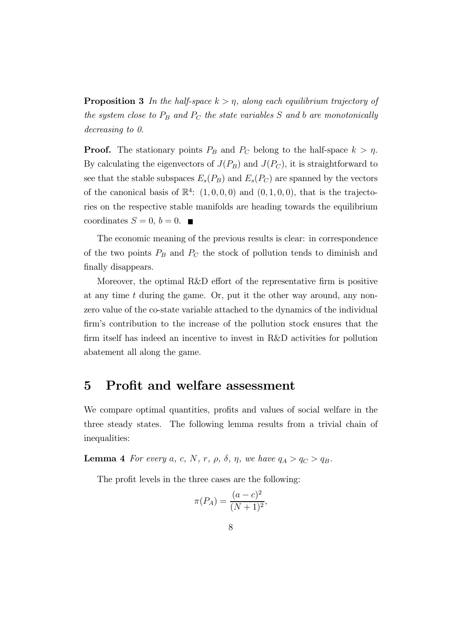**Proposition 3** In the half-space  $k > \eta$ , along each equilibrium trajectory of the system close to  $P_B$  and  $P_C$  the state variables S and b are monotonically decreasing to 0.

**Proof.** The stationary points  $P_B$  and  $P_C$  belong to the half-space  $k > \eta$ . By calculating the eigenvectors of  $J(P_B)$  and  $J(P_C)$ , it is straightforward to see that the stable subspaces  $E_s(P_B)$  and  $E_s(P_C)$  are spanned by the vectors of the canonical basis of  $\mathbb{R}^4$ :  $(1,0,0,0)$  and  $(0,1,0,0)$ , that is the trajectories on the respective stable manifolds are heading towards the equilibrium coordinates  $S = 0, b = 0$ .

The economic meaning of the previous results is clear: in correspondence of the two points  $P_B$  and  $P_C$  the stock of pollution tends to diminish and finally disappears.

Moreover, the optimal R&D effort of the representative firm is positive at any time  $t$  during the game. Or, put it the other way around, any nonzero value of the co-state variable attached to the dynamics of the individual firm's contribution to the increase of the pollution stock ensures that the firm itself has indeed an incentive to invest in R&D activities for pollution abatement all along the game.

#### 5 Profit and welfare assessment

We compare optimal quantities, profits and values of social welfare in the three steady states. The following lemma results from a trivial chain of inequalities:

**Lemma 4** For every a, c, N, r,  $\rho$ ,  $\delta$ ,  $\eta$ , we have  $q_A > q_C > q_B$ .

The profit levels in the three cases are the following:

$$
\pi(P_A) = \frac{(a-c)^2}{(N+1)^2},
$$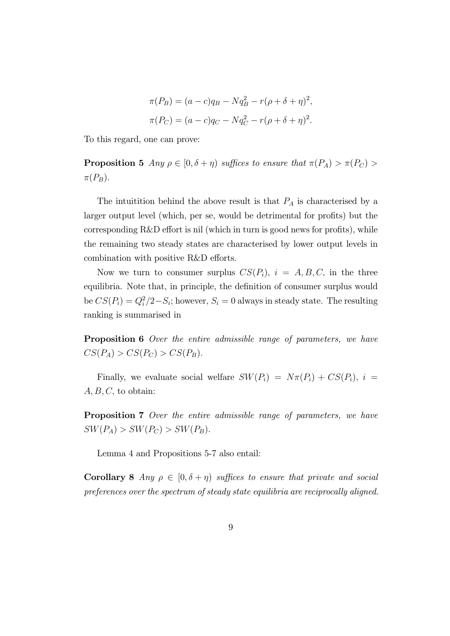$$
\pi(P_B) = (a - c)q_B - Nq_B^2 - r(\rho + \delta + \eta)^2,
$$
  

$$
\pi(P_C) = (a - c)q_C - Nq_C^2 - r(\rho + \delta + \eta)^2.
$$

To this regard, one can prove:

**Proposition 5** Any  $\rho \in [0, \delta + \eta)$  suffices to ensure that  $\pi(P_A) > \pi(P_C)$  $\pi(P_B)$ .

The intuition behind the above result is that  $P_A$  is characterised by a larger output level (which, per se, would be detrimental for profits) but the corresponding R&D effort is nil (which in turn is good news for profits), while the remaining two steady states are characterised by lower output levels in combination with positive R&D efforts.

Now we turn to consumer surplus  $CS(P_i)$ ,  $i = A, B, C$ , in the three equilibria. Note that, in principle, the definition of consumer surplus would be  $CS(P_i) = Q_i^2/2-S_i$ ; however,  $S_i = 0$  always in steady state. The resulting ranking is summarised in

Proposition 6 Over the entire admissible range of parameters, we have  $CS(P_A) > CS(P_C) > CS(P_B).$ 

Finally, we evaluate social welfare  $SW(P_i) = N\pi(P_i) + CS(P_i)$ ,  $i =$  $A, B, C$ , to obtain:

Proposition 7 Over the entire admissible range of parameters, we have  $SW(P_A) > SW(P_C) > SW(P_B).$ 

Lemma 4 and Propositions 5-7 also entail:

Corollary 8 Any  $\rho \in [0, \delta + \eta)$  suffices to ensure that private and social preferences over the spectrum of steady state equilibria are reciprocally aligned.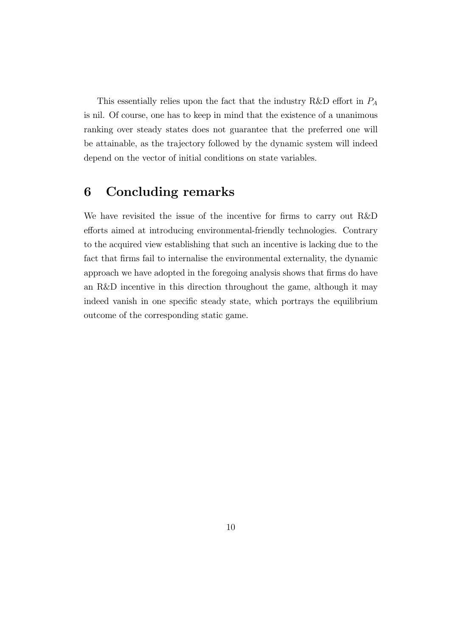This essentially relies upon the fact that the industry R&D effort in  $P_A$ is nil. Of course, one has to keep in mind that the existence of a unanimous ranking over steady states does not guarantee that the preferred one will be attainable, as the trajectory followed by the dynamic system will indeed depend on the vector of initial conditions on state variables.

## 6 Concluding remarks

We have revisited the issue of the incentive for firms to carry out R&D efforts aimed at introducing environmental-friendly technologies. Contrary to the acquired view establishing that such an incentive is lacking due to the fact that firms fail to internalise the environmental externality, the dynamic approach we have adopted in the foregoing analysis shows that firms do have an R&D incentive in this direction throughout the game, although it may indeed vanish in one specific steady state, which portrays the equilibrium outcome of the corresponding static game.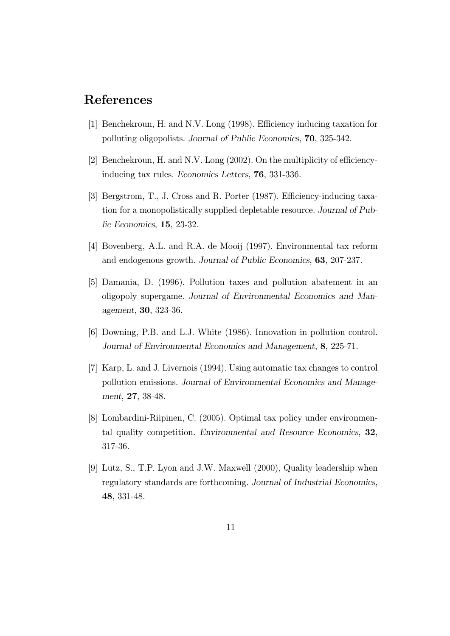#### References

- [1] Benchekroun, H. and N.V. Long (1998). Efficiency inducing taxation for polluting oligopolists. Journal of Public Economics, 70, 325-342.
- [2] Benchekroun, H. and N.V. Long (2002). On the multiplicity of efficiencyinducing tax rules. Economics Letters, 76, 331-336.
- [3] Bergstrom, T., J. Cross and R. Porter (1987). Efficiency-inducing taxation for a monopolistically supplied depletable resource. Journal of Public Economics, 15, 23-32.
- [4] Bovenberg, A.L. and R.A. de Mooij (1997). Environmental tax reform and endogenous growth. Journal of Public Economics, 63, 207-237.
- [5] Damania, D. (1996). Pollution taxes and pollution abatement in an oligopoly supergame. Journal of Environmental Economics and Management, 30, 323-36.
- [6] Downing, P.B. and L.J. White (1986). Innovation in pollution control. Journal of Environmental Economics and Management, 8, 225-71.
- [7] Karp, L. and J. Livernois (1994). Using automatic tax changes to control pollution emissions. Journal of Environmental Economics and Management, 27, 38-48.
- [8] Lombardini-Riipinen, C. (2005). Optimal tax policy under environmental quality competition. Environmental and Resource Economics, 32, 317-36.
- [9] Lutz, S., T.P. Lyon and J.W. Maxwell (2000), Quality leadership when regulatory standards are forthcoming. Journal of Industrial Economics, 48, 331-48.